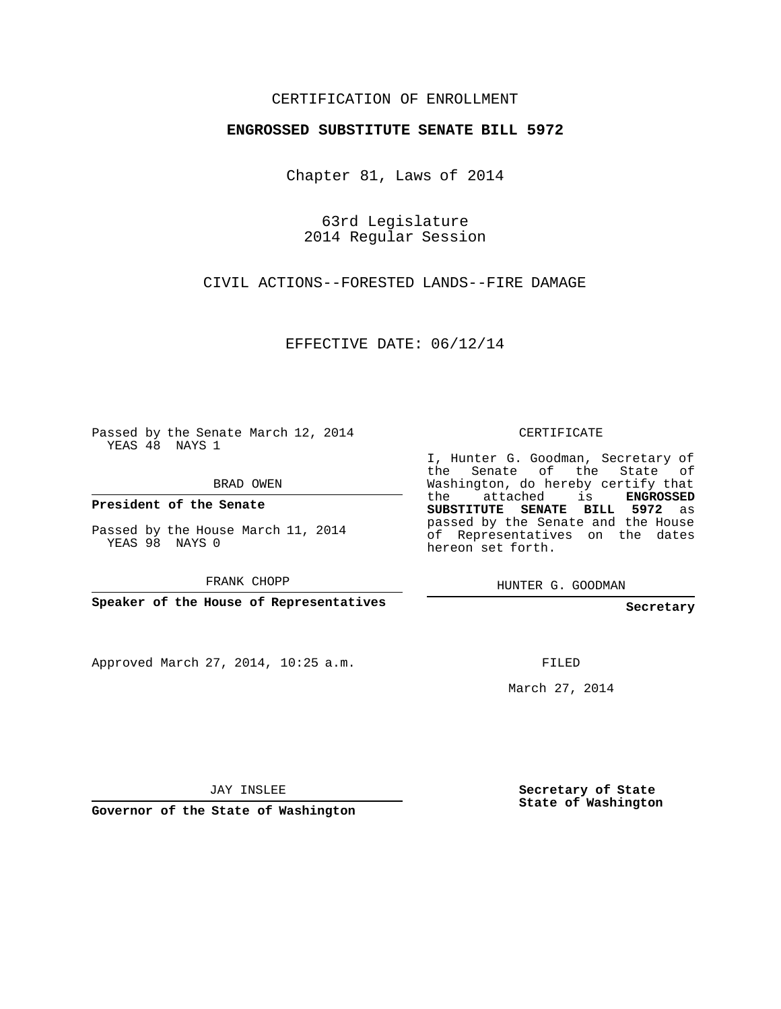## CERTIFICATION OF ENROLLMENT

## **ENGROSSED SUBSTITUTE SENATE BILL 5972**

Chapter 81, Laws of 2014

63rd Legislature 2014 Regular Session

CIVIL ACTIONS--FORESTED LANDS--FIRE DAMAGE

EFFECTIVE DATE: 06/12/14

Passed by the Senate March 12, 2014 YEAS 48 NAYS 1

BRAD OWEN

**President of the Senate**

Passed by the House March 11, 2014 YEAS 98 NAYS 0

FRANK CHOPP

**Speaker of the House of Representatives**

Approved March 27, 2014, 10:25 a.m.

CERTIFICATE

I, Hunter G. Goodman, Secretary of the Senate of the State of Washington, do hereby certify that the attached is **ENGROSSED SUBSTITUTE SENATE BILL 5972** as passed by the Senate and the House of Representatives on the dates hereon set forth.

HUNTER G. GOODMAN

**Secretary**

FILED

March 27, 2014

**Secretary of State State of Washington**

JAY INSLEE

**Governor of the State of Washington**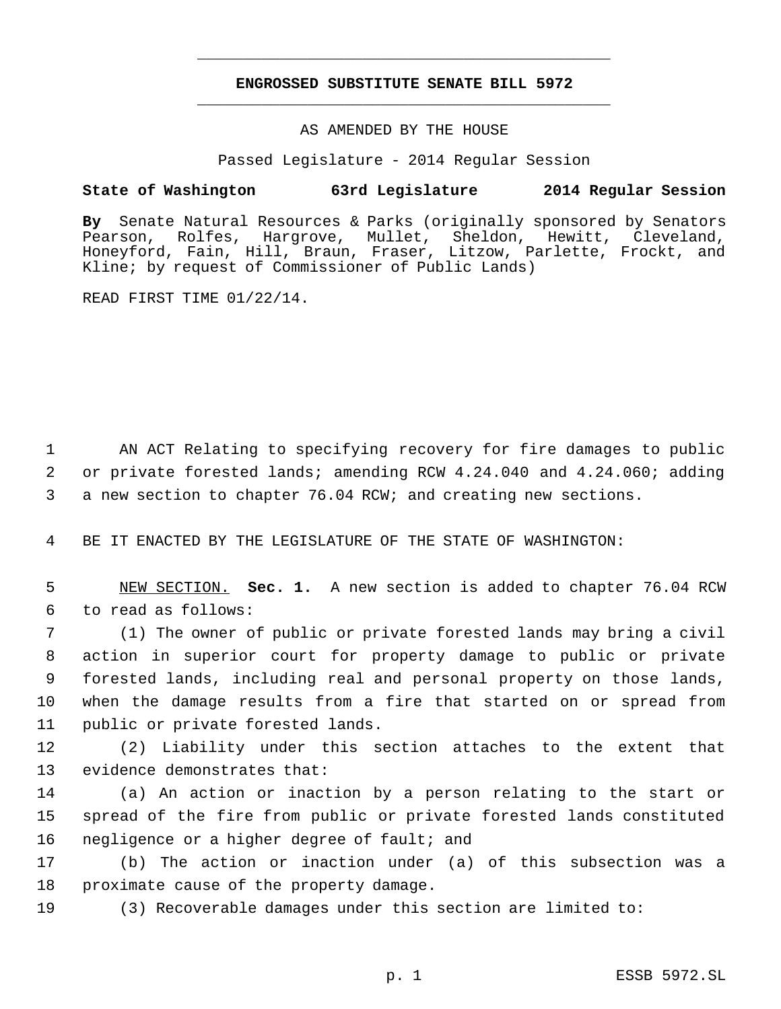## **ENGROSSED SUBSTITUTE SENATE BILL 5972** \_\_\_\_\_\_\_\_\_\_\_\_\_\_\_\_\_\_\_\_\_\_\_\_\_\_\_\_\_\_\_\_\_\_\_\_\_\_\_\_\_\_\_\_\_

\_\_\_\_\_\_\_\_\_\_\_\_\_\_\_\_\_\_\_\_\_\_\_\_\_\_\_\_\_\_\_\_\_\_\_\_\_\_\_\_\_\_\_\_\_

AS AMENDED BY THE HOUSE

Passed Legislature - 2014 Regular Session

## **State of Washington 63rd Legislature 2014 Regular Session**

**By** Senate Natural Resources & Parks (originally sponsored by Senators Pearson, Rolfes, Hargrove, Mullet, Sheldon, Hewitt, Cleveland, Honeyford, Fain, Hill, Braun, Fraser, Litzow, Parlette, Frockt, and Kline; by request of Commissioner of Public Lands)

READ FIRST TIME 01/22/14.

 AN ACT Relating to specifying recovery for fire damages to public or private forested lands; amending RCW 4.24.040 and 4.24.060; adding a new section to chapter 76.04 RCW; and creating new sections.

BE IT ENACTED BY THE LEGISLATURE OF THE STATE OF WASHINGTON:

 NEW SECTION. **Sec. 1.** A new section is added to chapter 76.04 RCW to read as follows:

 (1) The owner of public or private forested lands may bring a civil action in superior court for property damage to public or private forested lands, including real and personal property on those lands, when the damage results from a fire that started on or spread from public or private forested lands.

 (2) Liability under this section attaches to the extent that evidence demonstrates that:

 (a) An action or inaction by a person relating to the start or spread of the fire from public or private forested lands constituted negligence or a higher degree of fault; and

 (b) The action or inaction under (a) of this subsection was a proximate cause of the property damage.

(3) Recoverable damages under this section are limited to: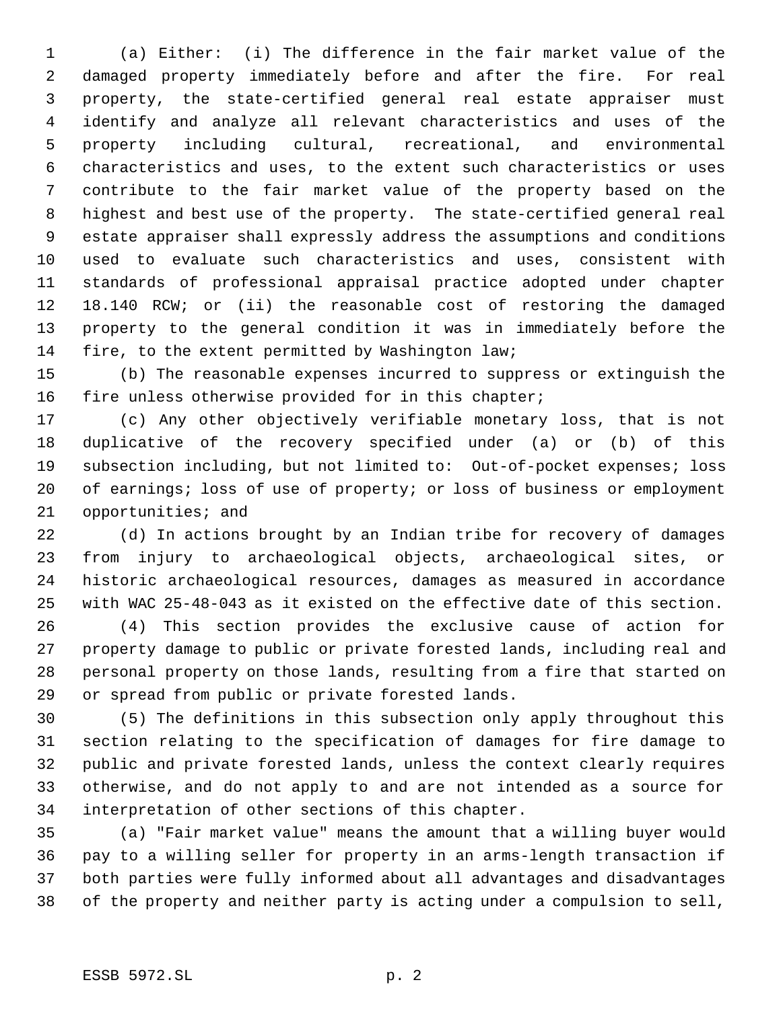(a) Either: (i) The difference in the fair market value of the damaged property immediately before and after the fire. For real property, the state-certified general real estate appraiser must identify and analyze all relevant characteristics and uses of the property including cultural, recreational, and environmental characteristics and uses, to the extent such characteristics or uses contribute to the fair market value of the property based on the highest and best use of the property. The state-certified general real estate appraiser shall expressly address the assumptions and conditions used to evaluate such characteristics and uses, consistent with standards of professional appraisal practice adopted under chapter 18.140 RCW; or (ii) the reasonable cost of restoring the damaged property to the general condition it was in immediately before the fire, to the extent permitted by Washington law;

 (b) The reasonable expenses incurred to suppress or extinguish the 16 fire unless otherwise provided for in this chapter;

 (c) Any other objectively verifiable monetary loss, that is not duplicative of the recovery specified under (a) or (b) of this subsection including, but not limited to: Out-of-pocket expenses; loss of earnings; loss of use of property; or loss of business or employment opportunities; and

 (d) In actions brought by an Indian tribe for recovery of damages from injury to archaeological objects, archaeological sites, or historic archaeological resources, damages as measured in accordance with WAC 25-48-043 as it existed on the effective date of this section.

 (4) This section provides the exclusive cause of action for property damage to public or private forested lands, including real and personal property on those lands, resulting from a fire that started on or spread from public or private forested lands.

 (5) The definitions in this subsection only apply throughout this section relating to the specification of damages for fire damage to public and private forested lands, unless the context clearly requires otherwise, and do not apply to and are not intended as a source for interpretation of other sections of this chapter.

 (a) "Fair market value" means the amount that a willing buyer would pay to a willing seller for property in an arms-length transaction if both parties were fully informed about all advantages and disadvantages of the property and neither party is acting under a compulsion to sell,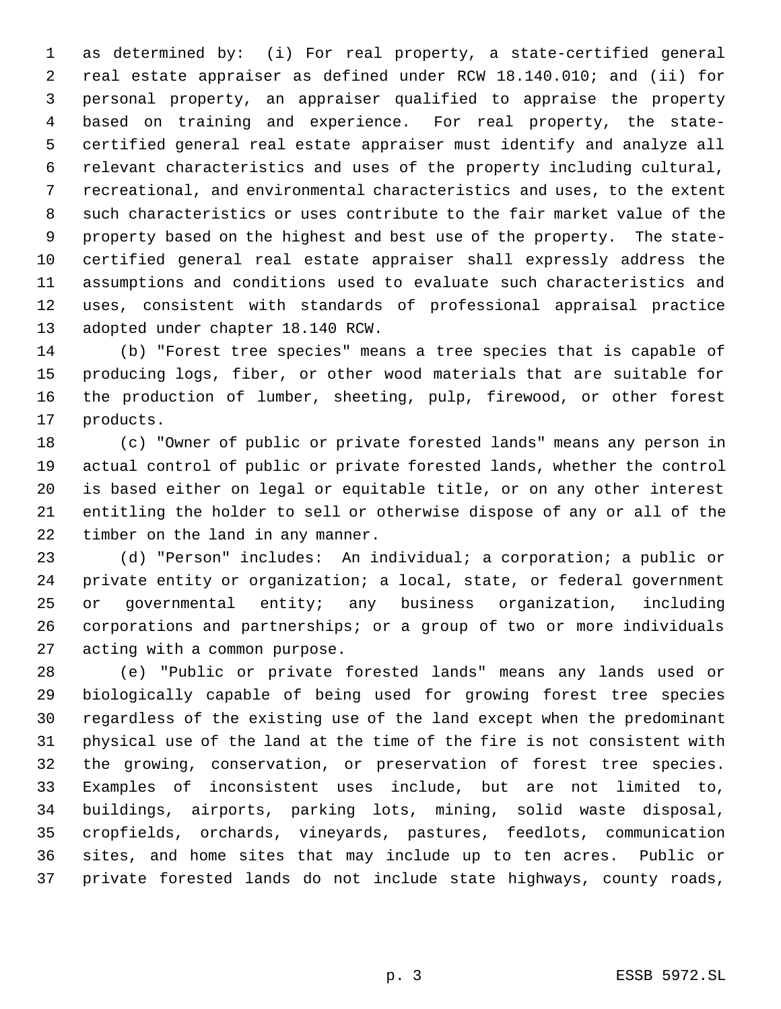as determined by: (i) For real property, a state-certified general real estate appraiser as defined under RCW 18.140.010; and (ii) for personal property, an appraiser qualified to appraise the property based on training and experience. For real property, the state- certified general real estate appraiser must identify and analyze all relevant characteristics and uses of the property including cultural, recreational, and environmental characteristics and uses, to the extent such characteristics or uses contribute to the fair market value of the property based on the highest and best use of the property. The state- certified general real estate appraiser shall expressly address the assumptions and conditions used to evaluate such characteristics and uses, consistent with standards of professional appraisal practice adopted under chapter 18.140 RCW.

 (b) "Forest tree species" means a tree species that is capable of producing logs, fiber, or other wood materials that are suitable for the production of lumber, sheeting, pulp, firewood, or other forest products.

 (c) "Owner of public or private forested lands" means any person in actual control of public or private forested lands, whether the control is based either on legal or equitable title, or on any other interest entitling the holder to sell or otherwise dispose of any or all of the timber on the land in any manner.

 (d) "Person" includes: An individual; a corporation; a public or private entity or organization; a local, state, or federal government or governmental entity; any business organization, including corporations and partnerships; or a group of two or more individuals acting with a common purpose.

 (e) "Public or private forested lands" means any lands used or biologically capable of being used for growing forest tree species regardless of the existing use of the land except when the predominant physical use of the land at the time of the fire is not consistent with the growing, conservation, or preservation of forest tree species. Examples of inconsistent uses include, but are not limited to, buildings, airports, parking lots, mining, solid waste disposal, cropfields, orchards, vineyards, pastures, feedlots, communication sites, and home sites that may include up to ten acres. Public or private forested lands do not include state highways, county roads,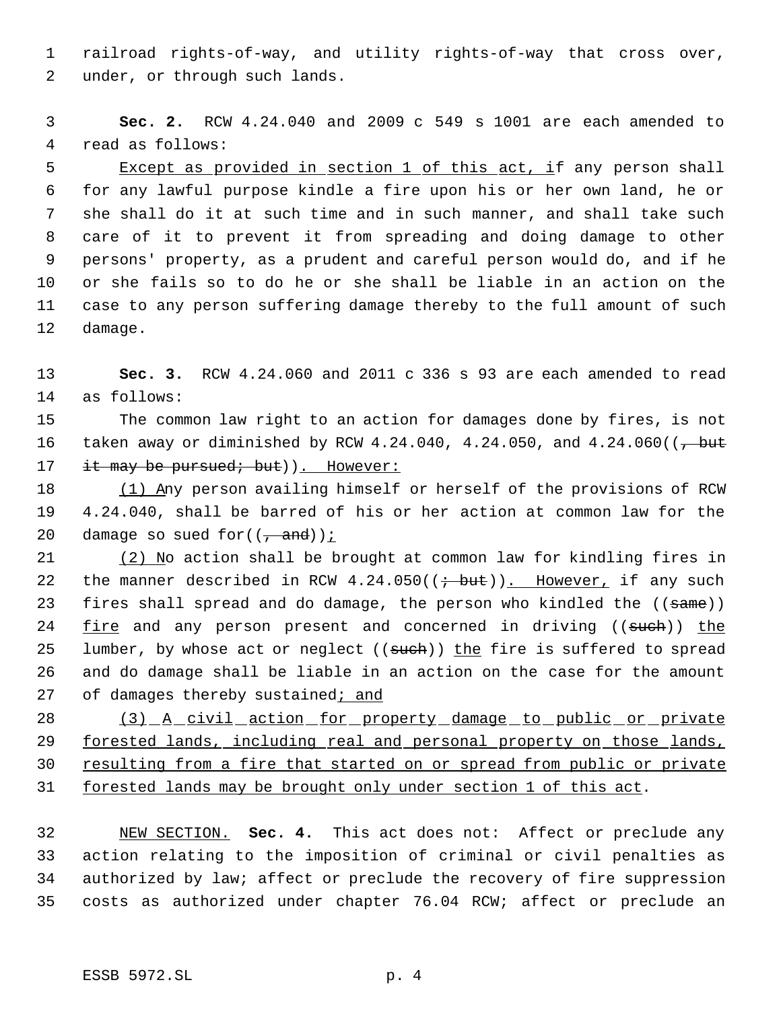railroad rights-of-way, and utility rights-of-way that cross over, under, or through such lands.

 **Sec. 2.** RCW 4.24.040 and 2009 c 549 s 1001 are each amended to read as follows:

5 Except as provided in section 1 of this act, if any person shall for any lawful purpose kindle a fire upon his or her own land, he or she shall do it at such time and in such manner, and shall take such care of it to prevent it from spreading and doing damage to other persons' property, as a prudent and careful person would do, and if he or she fails so to do he or she shall be liable in an action on the case to any person suffering damage thereby to the full amount of such damage.

 **Sec. 3.** RCW 4.24.060 and 2011 c 336 s 93 are each amended to read as follows:

 The common law right to an action for damages done by fires, is not 16 taken away or diminished by RCW 4.24.040, 4.24.050, and  $4.24.060$  ( $\frac{\text{but}}{\text{but}}$ 17 it may be pursued; but)). However:

18 (1) Any person availing himself or herself of the provisions of RCW 4.24.040, shall be barred of his or her action at common law for the 20 damage so sued for  $((\frac{1}{1}, \text{and}))$ ;

 (2) No action shall be brought at common law for kindling fires in 22 the manner described in RCW  $4.24.050((\div but))$ . However, if any such 23 fires shall spread and do damage, the person who kindled the ((same)) 24 fire and any person present and concerned in driving ((such)) the 25 lumber, by whose act or neglect ((such)) the fire is suffered to spread and do damage shall be liable in an action on the case for the amount 27 of damages thereby sustained; and

28 (3) A civil action for property damage to public or private forested lands, including real and personal property on those lands, resulting from a fire that started on or spread from public or private forested lands may be brought only under section 1 of this act.

 NEW SECTION. **Sec. 4.** This act does not: Affect or preclude any action relating to the imposition of criminal or civil penalties as authorized by law; affect or preclude the recovery of fire suppression costs as authorized under chapter 76.04 RCW; affect or preclude an